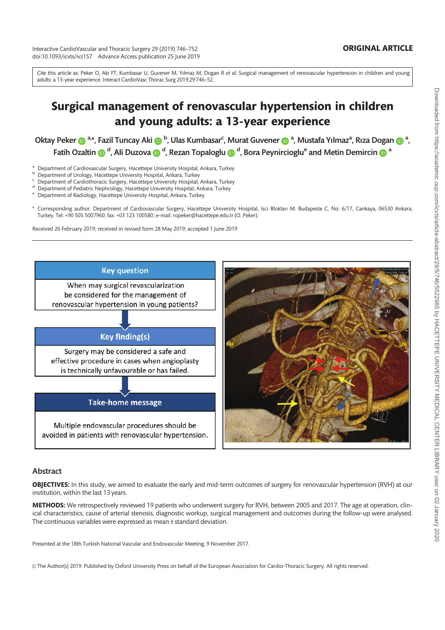Cite this article as: Peker O, Aki FT, Kumbasar U, Guvener M, Yılmaz M, Dogan R et al. Surgical management of renovascular hypertension in children and young adults: a 13-year experience. Interact CardioVasc Thorac Surg 2019;29:746–52.

# Surgical management of renovascular hypertension in children and young adults: a 13-year experience

Oktay Peker ����\*, Fazil Tuncay Aki �����, Ulas Kumbasar<sup>c</sup>, Murat Guvener ��� ª, Mustafa Yılmaz<sup>a</sup>, Rıza Dogan ��� ª, Fatih Ozaltin @ <sup>d</sup>, Ali Duzova @ <sup>d</sup>, Rezan Topaloglu @ <sup>d</sup>, Bora Peynircioglu<sup>e</sup> and Metin Demircin @ <sup>a</sup>

- <sup>a</sup> Department of Cardiovascular Surgery, Hacettepe University Hospital, Ankara, Turkey
- <sup>b</sup> Department of Urology, Hacettepe University Hospital, Ankara, Turkey
- Department of Cardiothoracic Surgery, Hacettepe University Hospital, Ankara, Turkey

Department of Pediatric Nephrology, Hacettepe University Hospital, Ankara, Turkey

<sup>e</sup> Department of Radiology, Hacettepe University Hospital, Ankara, Turkey

\* Corresponding author. Department of Cardiovascular Surgery, Hacettepe University Hospital, Isci Blokları M. Budapeste C. No: 6/17, Cankaya, 06530 Ankara, Turkey. Tel: +90 505 5007960; fax: +03 123 100580; e-mail: ropeker@hacettepe.edu.tr (O. Peker).

Received 26 February 2019; received in revised form 28 May 2019; accepted 1 June 2019



# Abstract

OBJECTIVES: In this study, we aimed to evaluate the early and mid-term outcomes of surgery for renovascular hypertension (RVH) at our institution, within the last 13 years.

METHODS: We retrospectively reviewed 19 patients who underwent surgery for RVH, between 2005 and 2017. The age at operation, clinical characteristics, cause of arterial stenosis, diagnostic workup, surgical management and outcomes during the follow-up were analysed. The continuous variables were expressed as mean ± standard deviation.

Presented at the 18th Turkish National Vascular and Endovascular Meeting, 9 November 2017.

V<sup>C</sup> The Author(s) 2019. Published by Oxford University Press on behalf of the European Association for Cardio-Thoracic Surgery. All rights reserved.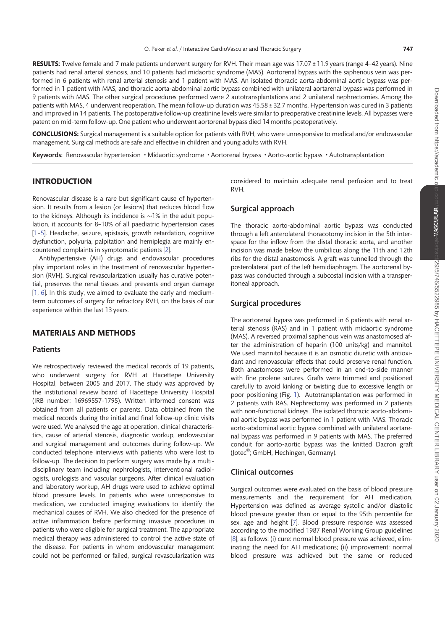RESULTS: Twelve female and 7 male patients underwent surgery for RVH. Their mean age was 17.07 ± 11.9 years (range 4-42 years). Nine patients had renal arterial stenosis, and 10 patients had midaortic syndrome (MAS). Aortorenal bypass with the saphenous vein was performed in 6 patients with renal arterial stenosis and 1 patient with MAS. An isolated thoracic aorta-abdominal aortic bypass was performed in 1 patient with MAS, and thoracic aorta-abdominal aortic bypass combined with unilateral aortarenal bypass was performed in 9 patients with MAS. The other surgical procedures performed were 2 autotransplantations and 2 unilateral nephrectomies. Among the patients with MAS, 4 underwent reoperation. The mean follow-up duration was 45.58 ± 32.7 months. Hypertension was cured in 3 patients and improved in 14 patients. The postoperative follow-up creatinine levels were similar to preoperative creatinine levels. All bypasses were patent on mid-term follow-up. One patient who underwent aortorenal bypass died 14 months postoperatively.

CONCLUSIONS: Surgical management is a suitable option for patients with RVH, who were unresponsive to medical and/or endovascular management. Surgical methods are safe and effective in children and young adults with RVH.

Keywords: Renovascular hypertension • Midaortic syndrome • Aortorenal bypass • Aorto-aortic bypass • Autotransplantation

# INTRODUCTION

Renovascular disease is a rare but significant cause of hypertension. It results from a lesion (or lesions) that reduces blood flow to the kidneys. Although its incidence is  $\sim$ 1% in the adult population, it accounts for 8–10% of all paediatric hypertension cases [1–5]. Headache, seizure, epistaxis, growth retardation, cognitive dysfunction, polyuria, palpitation and hemiplegia are mainly encountered complaints in symptomatic patients [2].

Antihypertensive (AH) drugs and endovascular procedures play important roles in the treatment of renovascular hypertension (RVH). Surgical revascularization usually has curative potential, preserves the renal tissues and prevents end organ damage [1, 6]. In this study, we aimed to evaluate the early and mediumterm outcomes of surgery for refractory RVH, on the basis of our experience within the last 13 years.

# MATERIALS AND METHODS

#### Patients

We retrospectively reviewed the medical records of 19 patients, who underwent surgery for RVH at Hacettepe University Hospital, between 2005 and 2017. The study was approved by the institutional review board of Hacettepe University Hospital (IRB number: 16969557-1795). Written informed consent was obtained from all patients or parents. Data obtained from the medical records during the initial and final follow-up clinic visits were used. We analysed the age at operation, clinical characteristics, cause of arterial stenosis, diagnostic workup, endovascular and surgical management and outcomes during follow-up. We conducted telephone interviews with patients who were lost to follow-up. The decision to perform surgery was made by a multidisciplinary team including nephrologists, interventional radiologists, urologists and vascular surgeons. After clinical evaluation and laboratory workup, AH drugs were used to achieve optimal blood pressure levels. In patients who were unresponsive to medication, we conducted imaging evaluations to identify the mechanical causes of RVH. We also checked for the presence of active inflammation before performing invasive procedures in patients who were eligible for surgical treatment. The appropriate medical therapy was administered to control the active state of the disease. For patients in whom endovascular management could not be performed or failed, surgical revascularization was

considered to maintain adequate renal perfusion and to treat RVH.

# Surgical approach

The thoracic aorto-abdominal aortic bypass was conducted through a left anterolateral thoracotomy incision in the 5th interspace for the inflow from the distal thoracic aorta, and another incision was made below the umbilicus along the 11th and 12th ribs for the distal anastomosis. A graft was tunnelled through the posterolateral part of the left hemidiaphragm. The aortorenal bypass was conducted through a subcostal incision with a transperitoneal approach.

## Surgical procedures

The aortorenal bypass was performed in 6 patients with renal arterial stenosis (RAS) and in 1 patient with midaortic syndrome (MAS). A reversed proximal saphenous vein was anastomosed after the administration of heparin (100 units/kg) and mannitol. We used mannitol because it is an osmotic diuretic with antioxidant and renovascular effects that could preserve renal function. Both anastomoses were performed in an end-to-side manner with fine prolene sutures. Grafts were trimmed and positioned carefully to avoid kinking or twisting due to excessive length or poor positioning (Fig. 1). Autotransplantation was performed in 2 patients with RAS. Nephrectomy was performed in 2 patients with non-functional kidneys. The isolated thoracic aorto-abdominal aortic bypass was performed in 1 patient with MAS. Thoracic aorto-abdominal aortic bypass combined with unilateral aortarenal bypass was performed in 9 patients with MAS. The preferred conduit for aorto-aortic bypass was the knitted Dacron graft (Jotec<sup>®</sup>; GmbH, Hechingen, Germany).

## Clinical outcomes

Surgical outcomes were evaluated on the basis of blood pressure measurements and the requirement for AH medication. Hypertension was defined as average systolic and/or diastolic blood pressure greater than or equal to the 95th percentile for sex, age and height [7]. Blood pressure response was assessed according to the modified 1987 Renal Working Group guidelines [8], as follows: (i) cure: normal blood pressure was achieved, eliminating the need for AH medications; (ii) improvement: normal blood pressure was achieved but the same or reduced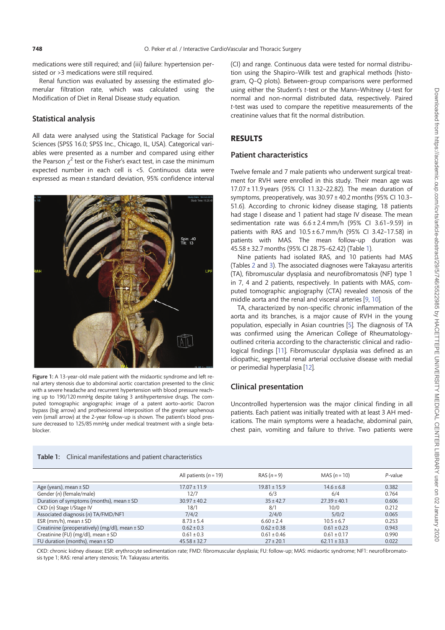medications were still required; and (iii) failure: hypertension persisted or >3 medications were still required.

Renal function was evaluated by assessing the estimated glomerular filtration rate, which was calculated using the Modification of Diet in Renal Disease study equation.

## Statistical analysis

All data were analysed using the Statistical Package for Social Sciences (SPSS 16.0; SPSS Inc., Chicago, IL, USA). Categorical variables were presented as a number and compared using either the Pearson  $\chi^2$  test or the Fisher's exact test, in case the minimum expected number in each cell is <5. Continuous data were expressed as mean ± standard deviation, 95% confidence interval



Figure 1: A 13-year-old male patient with the midaortic syndrome and left renal artery stenosis due to abdominal aortic coarctation presented to the clinic with a severe headache and recurrent hypertension with blood pressure reaching up to 190/120 mmHg despite taking 3 antihypertensive drugs. The computed tomographic angiographic image of a patent aorto–aortic Dacron bypass (big arrow) and prothesiorenal interposition of the greater saphenous vein (small arrow) at the 2-year follow-up is shown. The patient's blood pressure decreased to 125/85 mmHg under medical treatment with a single betablocker.

(CI) and range. Continuous data were tested for normal distribution using the Shapiro–Wilk test and graphical methods (histogram, Q–Q plots). Between-group comparisons were performed using either the Student's t-test or the Mann–Whitney U-test for normal and non-normal distributed data, respectively. Paired t-test was used to compare the repetitive measurements of the creatinine values that fit the normal distribution.

## RESULTS

#### Patient characteristics

Twelve female and 7 male patients who underwent surgical treatment for RVH were enrolled in this study. Their mean age was 17.07 ± 11.9 years (95% CI 11.32–22.82). The mean duration of symptoms, preoperatively, was 30.97 ± 40.2 months (95% CI 10.3– 51.6). According to chronic kidney disease staging, 18 patients had stage I disease and 1 patient had stage IV disease. The mean sedimentation rate was  $6.6 \pm 2.4$  mm/h (95% CI 3.61-9.59) in patients with RAS and 10.5 ± 6.7 mm/h (95% CI 3.42–17.58) in patients with MAS. The mean follow-up duration was 45.58 ± 32.7 months (95% CI 28.75–62.42) (Table 1).

Nine patients had isolated RAS, and 10 patients had MAS (Tables 2 and 3). The associated diagnoses were Takayasu arteritis (TA), fibromuscular dysplasia and neurofibromatosis (NF) type 1 in 7, 4 and 2 patients, respectively. In patients with MAS, computed tomographic angiography (CTA) revealed stenosis of the middle aorta and the renal and visceral arteries [9, 10].

TA, characterized by non-specific chronic inflammation of the aorta and its branches, is a major cause of RVH in the young population, especially in Asian countries [5]. The diagnosis of TA was confirmed using the American College of Rheumatologyoutlined criteria according to the characteristic clinical and radiological findings [11]. Fibromuscular dysplasia was defined as an idiopathic, segmental renal arterial occlusive disease with medial or perimedial hyperplasia [12].

#### Clinical presentation

Uncontrolled hypertension was the major clinical finding in all patients. Each patient was initially treated with at least 3 AH medications. The main symptoms were a headache, abdominal pain, chest pain, vomiting and failure to thrive. Two patients were

| <b>Table 1:</b> Clinical manifestations and patient characteristics |
|---------------------------------------------------------------------|
|                                                                     |

|                                                    | All patients $(n = 19)$ | $RAS(n=9)$       | $MAS (n = 10)$   | P-value |
|----------------------------------------------------|-------------------------|------------------|------------------|---------|
| Age (years), mean $\pm$ SD                         | $17.07 \pm 11.9$        | $19.81 \pm 15.9$ | $14.6 \pm 6.8$   | 0.382   |
| Gender (n) (female/male)                           | 12/7                    | 6/3              | 6/4              | 0.764   |
| Duration of symptoms (months), mean $\pm$ SD       | $30.97 \pm 40.2$        | $35 \pm 42.7$    | $27.39 \pm 40.1$ | 0.606   |
| CKD (n) Stage I/Stage IV                           | 18/1                    | 8/1              | 10/0             | 0.212   |
| Associated diagnosis (n) TA/FMD/NF1                | 7/4/2                   | 2/4/0            | 5/0/2            | 0.065   |
| ESR (mm/h), mean $\pm$ SD                          | $8.73 \pm 5.4$          | $6.60 \pm 2.4$   | $10.5 \pm 6.7$   | 0.253   |
| Creatinine (preoperatively) (mg/dl), mean $\pm$ SD | $0.62 \pm 0.3$          | $0.62 \pm 0.38$  | $0.61 \pm 0.23$  | 0.943   |
| Creatinine (FU) (mg/dl), mean $\pm$ SD             | $0.61 \pm 0.3$          | $0.61 \pm 0.46$  | $0.61 \pm 0.17$  | 0.990   |
| FU duration (months), mean $\pm$ SD                | $45.58 \pm 32.7$        | $27 \pm 20.1$    | $62.11 \pm 33.3$ | 0.022   |

CKD: chronic kidney disease; ESR: erythrocyte sedimentation rate; FMD: fibromuscular dysplasia; FU: follow-up; MAS: midaortic syndrome; NF1: neurofibromatosis type 1; RAS: renal artery stenosis; TA: Takayasu arteritis.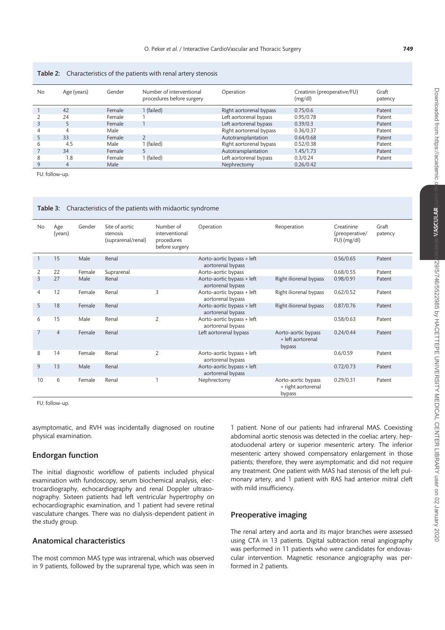#### Table 2: Characteristics of the patients with renal artery stenosis

| No | Age (years) | Gender | Number of interventional<br>procedures before surgery | Operation               | Creatinin (preoperative/FU)<br>(mg/dl) | Graft<br>patency |
|----|-------------|--------|-------------------------------------------------------|-------------------------|----------------------------------------|------------------|
|    | 42          | Female | 1 (failed)                                            | Right aortorenal bypass | 0.75/0.6                               | Patent           |
|    | 24          | Female |                                                       | Left aortorenal bypass  | 0.95/0.78                              | Patent           |
| 3  |             | Female |                                                       | Left aortorenal bypass  | 0.39/0.3                               | Patent           |
| 4  |             | Male   |                                                       | Right aortorenal bypass | 0.36/0.37                              | Patent           |
|    | 33          | Female |                                                       | Autotransplantation     | 0.64/0.68                              | Patent           |
| 6  | 4.5         | Male   | 1 (failed)                                            | Right aortorenal bypass | 0.52/0.38                              | Patent           |
|    | 34          | Female | 5.                                                    | Autotransplantation     | 1.45/1.73                              | Patent           |
| 8  | 1.8         | Female | 1 (failed)                                            | Left aortorenal bypass  | 0.3/0.24                               | Patent           |
|    | 4           | Male   |                                                       | Nephrectomy             | 0.26/0.42                              |                  |

FU: follow-up.

#### Table 3: Characteristics of the patients with midaortic syndrome

| <b>No</b>      | Age<br>(years) | Gender | Site of aortic<br>stenosis<br>(suprarenal/renal) | Number of<br>interventional<br>procedures<br>before surgery | Operation                                       | Reoperation                                         | Creatinine<br>(preoperative/<br>$FU)$ (mg/dl) | Graft<br>patency |
|----------------|----------------|--------|--------------------------------------------------|-------------------------------------------------------------|-------------------------------------------------|-----------------------------------------------------|-----------------------------------------------|------------------|
|                | 15             | Male   | Renal                                            |                                                             | Aorto-aortic bypass + left<br>aortorenal bypass |                                                     | 0.56/0.65                                     | Patent           |
| 2              | 22             | Female | Suprarenal                                       |                                                             | Aorto-aortic bypass                             |                                                     | 0.68/0.55                                     | Patent           |
| 3              | 27             | Male   | Renal                                            |                                                             | Aorto-aortic bypass + left<br>aortorenal bypass | Right iliorenal bypass                              | 0.98/0.91                                     | Patent           |
| 4              | 12             | Female | Renal                                            | 3                                                           | Aorto-aortic bypass + left<br>aortorenal bypass | Right iliorenal bypass                              | 0.62/0.52                                     | Patent           |
| 5              | 18             | Female | Renal                                            |                                                             | Aorto-aortic bypass + left<br>aortorenal bypass | Right iliorenal bypass                              | 0.87/0.76                                     | Patent           |
| 6              | 15             | Male   | Renal                                            | $\overline{2}$                                              | Aorto-aortic bypass + left<br>aortorenal bypass |                                                     | 0.58/0.63                                     | Patent           |
| $\overline{7}$ | $\overline{4}$ | Female | Renal                                            |                                                             | Left aortorenal bypass                          | Aorto-aortic bypass<br>+ left aortorenal<br>bypass  | 0.24/0.44                                     | Patent           |
| 8              | 14             | Female | Renal                                            | $\overline{2}$                                              | Aorto-aortic bypass + left<br>aortorenal bypass |                                                     | 0.6/0.59                                      | Patent           |
| 9              | 13             | Male   | Renal                                            |                                                             | Aorto-aortic bypass + left<br>aortorenal bypass |                                                     | 0.72/0.73                                     | Patent           |
| 10             | 6              | Female | Renal                                            |                                                             | Nephrectomy                                     | Aorto-aortic bypass<br>+ right aortorenal<br>bypass | 0.29/0.31                                     | Patent           |

FU: follow-up.

asymptomatic, and RVH was incidentally diagnosed on routine physical examination.

#### Endorgan function

The initial diagnostic workflow of patients included physical examination with fundoscopy, serum biochemical analysis, electrocardiography, echocardiography and renal Doppler ultrasonography. Sixteen patients had left ventricular hypertrophy on echocardiographic examination, and 1 patient had severe retinal vasculature changes. There was no dialysis-dependent patient in the study group.

# Anatomical characteristics

The most common MAS type was intrarenal, which was observed in 9 patients, followed by the suprarenal type, which was seen in

1 patient. None of our patients had infrarenal MAS. Coexisting abdominal aortic stenosis was detected in the coeliac artery, hepatoduodenal artery or superior mesenteric artery. The inferior mesenteric artery showed compensatory enlargement in those patients; therefore, they were asymptomatic and did not require any treatment. One patient with MAS had stenosis of the left pulmonary artery, and 1 patient with RAS had anterior mitral cleft with mild insufficiency.

#### Preoperative imaging

The renal artery and aorta and its major branches were assessed using CTA in 13 patients. Digital subtraction renal angiography was performed in 11 patients who were candidates for endovascular intervention. Magnetic resonance angiography was performed in 2 patients.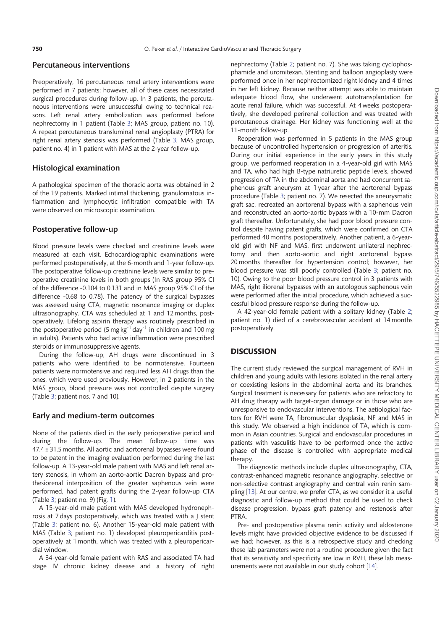## Percutaneous interventions

Preoperatively, 16 percutaneous renal artery interventions were performed in 7 patients; however, all of these cases necessitated surgical procedures during follow-up. In 3 patients, the percutaneous interventions were unsuccessful owing to technical reasons. Left renal artery embolization was performed before nephrectomy in 1 patient (Table 3; MAS group, patient no. 10). A repeat percutaneous transluminal renal angioplasty (PTRA) for right renal artery stenosis was performed (Table 3, MAS group, patient no. 4) in 1 patient with MAS at the 2-year follow-up.

## Histological examination

A pathological specimen of the thoracic aorta was obtained in 2 of the 19 patients. Marked intimal thickening, granulomatous inflammation and lymphocytic infiltration compatible with TA were observed on microscopic examination.

#### Postoperative follow-up

Blood pressure levels were checked and creatinine levels were measured at each visit. Echocardiographic examinations were performed postoperatively, at the 6-month and 1-year follow-up. The postoperative follow-up creatinine levels were similar to preoperative creatinine levels in both groups (In RAS group 95% CI of the difference -0.104 to 0.131 and in MAS group 95% CI of the difference -0.68 to 0.78). The patency of the surgical bypasses was assessed using CTA, magnetic resonance imaging or duplex ultrasonography. CTA was scheduled at 1 and 12 months, postoperatively. Lifelong aspirin therapy was routinely prescribed in the postoperative period (5 mg kg<sup>-1</sup> day<sup>-1</sup> in children and 100 mg in adults). Patients who had active inflammation were prescribed steroids or immunosuppressive agents.

During the follow-up, AH drugs were discontinued in 3 patients who were identified to be normotensive. Fourteen patients were normotensive and required less AH drugs than the ones, which were used previously. However, in 2 patients in the MAS group, blood pressure was not controlled despite surgery (Table 3; patient nos. 7 and 10).

#### Early and medium-term outcomes

None of the patients died in the early perioperative period and during the follow-up. The mean follow-up time was 47.4 ± 31.5 months. All aortic and aortorenal bypasses were found to be patent in the imaging evaluation performed during the last follow-up. A 13-year-old male patient with MAS and left renal artery stenosis, in whom an aorto-aortic Dacron bypass and prothesiorenal interposition of the greater saphenous vein were performed, had patent grafts during the 2-year follow-up CTA (Table 3; patient no. 9) (Fig. 1).

A 15-year-old male patient with MAS developed hydronephrosis at 7 days postoperatively, which was treated with a J stent (Table 3; patient no. 6). Another 15-year-old male patient with MAS (Table 3; patient no. 1) developed pleuropericarditis postoperatively at 1 month, which was treated with a pleuropericardial window.

A 34-year-old female patient with RAS and associated TA had stage IV chronic kidney disease and a history of right nephrectomy (Table 2; patient no. 7). She was taking cyclophosphamide and uromitexan. Stenting and balloon angioplasty were performed once in her nephrectomized right kidney and 4 times in her left kidney. Because neither attempt was able to maintain adequate blood flow, she underwent autotransplantation for acute renal failure, which was successful. At 4 weeks postoperatively, she developed perirenal collection and was treated with percutaneous drainage. Her kidney was functioning well at the 11-month follow-up.

Reoperation was performed in 5 patients in the MAS group because of uncontrolled hypertension or progression of arteritis. During our initial experience in the early years in this study group, we performed reoperation in a 4-year-old girl with MAS and TA, who had high B-type natriuretic peptide levels, showed progression of TA in the abdominal aorta and had concurrent saphenous graft aneurysm at 1 year after the aortorenal bypass procedure (Table 3; patient no. 7). We resected the aneurysmatic graft sac, recreated an aortorenal bypass with a saphenous vein and reconstructed an aorto-aortic bypass with a 10-mm Dacron graft thereafter. Unfortunately, she had poor blood pressure control despite having patent grafts, which were confirmed on CTA performed 40 months postoperatively. Another patient, a 6-yearold girl with NF and MAS, first underwent unilateral nephrectomy and then aorto-aortic and right aortorenal bypass 20 months thereafter for hypertension control; however, her blood pressure was still poorly controlled (Table 3; patient no. 10). Owing to the poor blood pressure control in 3 patients with MAS, right iliorenal bypasses with an autologous saphenous vein were performed after the initial procedure, which achieved a successful blood pressure response during the follow-up.

A 42-year-old female patient with a solitary kidney (Table 2; patient no. 1) died of a cerebrovascular accident at 14 months postoperatively.

# **DISCUSSION**

The current study reviewed the surgical management of RVH in children and young adults with lesions isolated in the renal artery or coexisting lesions in the abdominal aorta and its branches. Surgical treatment is necessary for patients who are refractory to AH drug therapy with target-organ damage or in those who are unresponsive to endovascular interventions. The aetiological factors for RVH were TA, fibromuscular dysplasia, NF and MAS in this study. We observed a high incidence of TA, which is common in Asian countries. Surgical and endovascular procedures in patients with vasculitis have to be performed once the active phase of the disease is controlled with appropriate medical therapy.

The diagnostic methods include duplex ultrasonography, CTA, contrast-enhanced magnetic resonance angiography, selective or non-selective contrast angiography and central vein renin sampling [13]. At our centre, we prefer CTA, as we consider it a useful diagnostic and follow-up method that could be used to check disease progression, bypass graft patency and restenosis after PTRA.

Pre- and postoperative plasma renin activity and aldosterone levels might have provided objective evidence to be discussed if we had; however, as this is a retrospective study and checking these lab parameters were not a routine procedure given the fact that its sensitivity and specificity are low in RVH, these lab measurements were not available in our study cohort [14].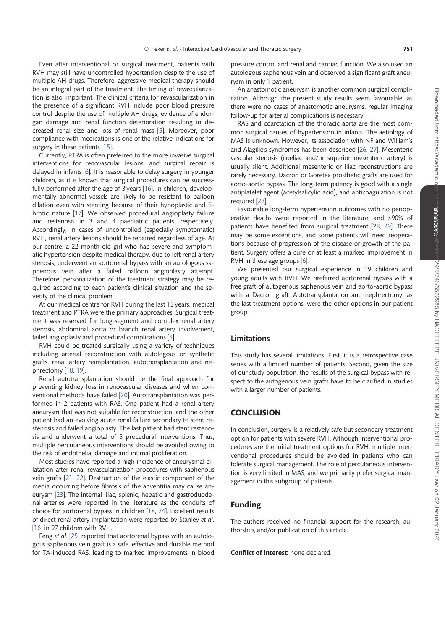Even after interventional or surgical treatment, patients with RVH may still have uncontrolled hypertension despite the use of multiple AH drugs. Therefore, aggressive medical therapy should be an integral part of the treatment. The timing of revascularization is also important. The clinical criteria for revascularization in the presence of a significant RVH include poor blood pressure control despite the use of multiple AH drugs, evidence of endorgan damage and renal function deterioration resulting in decreased renal size and loss of renal mass [5]. Moreover, poor compliance with medications is one of the relative indications for surgery in these patients [15].

Currently, PTRA is often preferred to the more invasive surgical interventions for renovascular lesions, and surgical repair is delayed in infants [6]. It is reasonable to delay surgery in younger children, as it is known that surgical procedures can be successfully performed after the age of 3 years [16]. In children, developmentally abnormal vessels are likely to be resistant to balloon dilation even with stenting because of their hypoplastic and fibrotic nature [17]. We observed procedural angioplasty failure and restenosis in 3 and 4 paediatric patients, respectively. Accordingly, in cases of uncontrolled (especially symptomatic) RVH, renal artery lesions should be repaired regardless of age. At our centre, a 22-month-old girl who had severe and symptomatic hypertension despite medical therapy, due to left renal artery stenosis, underwent an aortorenal bypass with an autologous saphenous vein after a failed balloon angioplasty attempt. Therefore, personalization of the treatment strategy may be required according to each patient's clinical situation and the severity of the clinical problem.

At our medical centre for RVH during the last 13 years, medical treatment and PTRA were the primary approaches. Surgical treatment was reserved for long-segment and complex renal artery stenosis, abdominal aorta or branch renal artery involvement, failed angioplasty and procedural complications [5].

RVH could be treated surgically using a variety of techniques including arterial reconstruction with autologous or synthetic grafts, renal artery reimplantation, autotransplantation and nephrectomy [18, 19].

Renal autotransplantation should be the final approach for preventing kidney loss in renovascular diseases and when conventional methods have failed [20]. Autotransplantation was performed in 2 patients with RAS. One patient had a renal artery aneurysm that was not suitable for reconstruction, and the other patient had an evolving acute renal failure secondary to stent restenosis and failed angioplasty. The last patient had stent restenosis and underwent a total of 5 procedural interventions. Thus, multiple percutaneous interventions should be avoided owing to the risk of endothelial damage and intimal proliferation.

Most studies have reported a high incidence of aneurysmal dilatation after renal revascularization procedures with saphenous vein grafts [21, 22]. Destruction of the elastic component of the media occurring before fibrosis of the adventitia may cause aneurysm [23]. The internal iliac, splenic, hepatic and gastroduodenal arteries were reported in the literature as the conduits of choice for aortorenal bypass in children [18, 24]. Excellent results of direct renal artery implantation were reported by Stanley et al. [16] in 97 children with RVH.

Feng et al. [25] reported that aortorenal bypass with an autologous saphenous vein graft is a safe, effective and durable method for TA-induced RAS, leading to marked improvements in blood pressure control and renal and cardiac function. We also used an autologous saphenous vein and observed a significant graft aneurysm in only 1 patient.

An anastomotic aneurysm is another common surgical complication. Although the present study results seem favourable, as there were no cases of anastomotic aneurysms, regular imaging follow-up for arterial complications is necessary.

RAS and coarctation of the thoracic aorta are the most common surgical causes of hypertension in infants. The aetiology of MAS is unknown. However, its association with NF and William's and Alagille's syndromes has been described [26, 27]. Mesenteric vascular stenosis (coeliac and/or superior mesenteric artery) is usually silent. Additional mesenteric or iliac reconstructions are rarely necessary. Dacron or Goretex prosthetic grafts are used for aorto-aortic bypass. The long-term patency is good with a single antiplatelet agent (acetylsalicylic acid), and anticoagulation is not required [22].

Favourable long-term hypertension outcomes with no perioperative deaths were reported in the literature, and >90% of patients have benefited from surgical treatment [28, 29]. There may be some exceptions, and some patients will need reoperations because of progression of the disease or growth of the patient. Surgery offers a cure or at least a marked improvement in RVH in these age groups [6].

We presented our surgical experience in 19 children and young adults with RVH. We preferred aortorenal bypass with a free graft of autogenous saphenous vein and aorto-aortic bypass with a Dacron graft. Autotransplantation and nephrectomy, as the last treatment options, were the other options in our patient group.

#### Limitations

This study has several limitations. First, it is a retrospective case series with a limited number of patients. Second, given the size of our study population, the results of the surgical bypass with respect to the autogenous vein grafts have to be clarified in studies with a larger number of patients.

## **CONCLUSION**

In conclusion, surgery is a relatively safe but secondary treatment option for patients with severe RVH. Although interventional procedures are the initial treatment options for RVH, multiple interventional procedures should be avoided in patients who can tolerate surgical management. The role of percutaneous intervention is very limited in MAS, and we primarily prefer surgical management in this subgroup of patients.

# Funding

The authors received no financial support for the research, authorship, and/or publication of this article.

Conflict of interest: none declared.